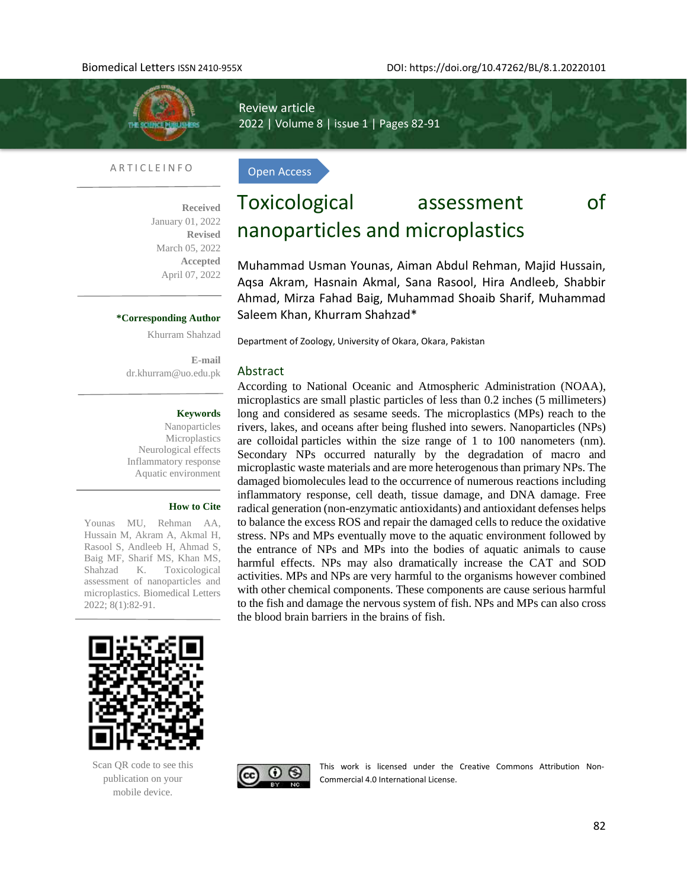

A R T I C L E I N F O

Open Access

Review article

2022 | Volume 8 | issue 1 | Pages 82-91

**Received**  January 01, 2022 **Revised** March 05, 2022 **Accepted** April 07, 2022

#### **\*Corresponding Author**

Khurram Shahzad

**E-mail**  [dr.khurram@uo.edu.pk](mailto:dr.khurram@uo.edu.pk)

#### **Keywords**

Nanoparticles Microplastics Neurological effects Inflammatory response Aquatic environment

#### **How to Cite**

Younas MU, Rehman AA, Hussain M, Akram A, Akmal H, Rasool S, Andleeb H, Ahmad S, Baig MF, Sharif MS, Khan MS, Shahzad K. Toxicological assessment of nanoparticles and microplastics. Biomedical Letters 2022; 8(1):82-91.

# Toxicological assessment of nanoparticles and microplastics

Muhammad Usman Younas, Aiman Abdul Rehman, Majid Hussain, Aqsa Akram, Hasnain Akmal, Sana Rasool, Hira Andleeb, Shabbir Ahmad, Mirza Fahad Baig, Muhammad Shoaib Sharif, Muhammad Saleem Khan, Khurram Shahzad\*

Department of Zoology, University of Okara, Okara, Pakistan

#### Abstract

According to National Oceanic and Atmospheric Administration (NOAA), microplastics are small plastic particles of less than 0.2 inches (5 millimeters) long and considered as sesame seeds. The microplastics (MPs) reach to the rivers, lakes, and oceans after being flushed into sewers. Nanoparticles (NPs) are colloidal particles within the size range of 1 to 100 nanometers (nm). Secondary NPs occurred naturally by the degradation of macro and microplastic waste materials and are more heterogenous than primary NPs. The damaged biomolecules lead to the occurrence of numerous reactions including inflammatory response, cell death, tissue damage, and DNA damage. Free radical generation (non-enzymatic antioxidants) and antioxidant defenses helps to balance the excess ROS and repair the damaged cells to reduce the oxidative stress. NPs and MPs eventually move to the aquatic environment followed by the entrance of NPs and MPs into the bodies of aquatic animals to cause harmful effects. NPs may also dramatically increase the CAT and SOD activities. MPs and NPs are very harmful to the organisms however combined with other chemical components. These components are cause serious harmful to the fish and damage the nervous system of fish. NPs and MPs can also cross the blood brain barriers in the brains of fish.



Scan QR code to see this publication on your mobile device.



This work is licensed under the Creative Commons Attribution Non-Commercial 4.0 International License.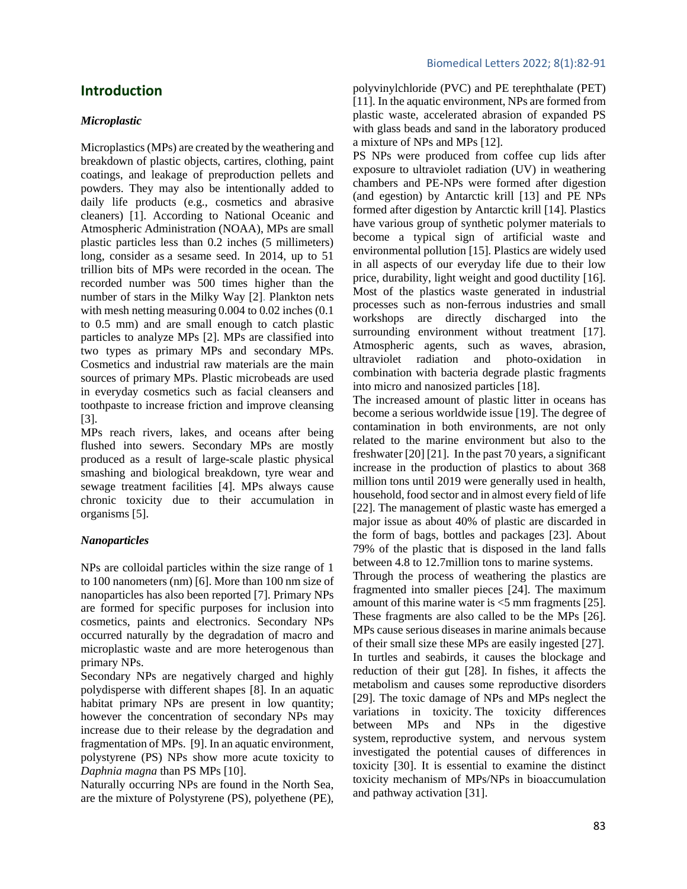### **Introduction**

#### *Microplastic*

Microplastics (MPs) are created by the weathering and breakdown of plastic objects, cartires, clothing, paint coatings, and leakage of preproduction pellets and powders. They may also be intentionally added to daily life products (e.g., cosmetics and abrasive cleaners) [1]. According to National Oceanic and Atmospheric Administration (NOAA), MPs are small plastic particles less than 0.2 inches (5 millimeters) long, consider as a sesame seed. In 2014, up to 51 trillion bits of MPs were recorded in the ocean. The recorded number was 500 times higher than the number of stars in the Milky Way [2]. Plankton nets with mesh netting measuring 0.004 to 0.02 inches (0.1 to 0.5 mm) and are small enough to catch plastic particles to analyze MPs [2]. MPs are classified into two types as primary MPs and secondary MPs. Cosmetics and industrial raw materials are the main sources of primary MPs. Plastic microbeads are used in everyday cosmetics such as facial cleansers and toothpaste to increase friction and improve cleansing [3].

MPs reach rivers, lakes, and oceans after being flushed into sewers. Secondary MPs are mostly produced as a result of large-scale plastic physical smashing and biological breakdown, tyre wear and sewage treatment facilities [4]. MPs always cause chronic toxicity due to their accumulation in organisms [5].

#### *Nanoparticles*

NPs are colloidal particles within the size range of 1 to 100 nanometers (nm) [6]. More than 100 nm size of nanoparticles has also been reported [7]. Primary NPs are formed for specific purposes for inclusion into cosmetics, paints and electronics. Secondary NPs occurred naturally by the degradation of macro and microplastic waste and are more heterogenous than primary NPs.

Secondary NPs are negatively charged and highly polydisperse with different shapes [8]. In an aquatic habitat primary NPs are present in low quantity; however the concentration of secondary NPs may increase due to their release by the degradation and fragmentation of MPs. [9]. In an aquatic environment, polystyrene (PS) NPs show more acute toxicity to *Daphnia magna* than PS MPs [10].

Naturally occurring NPs are found in the North Sea, are the mixture of Polystyrene (PS), polyethene (PE), polyvinylchloride (PVC) and PE terephthalate (PET) [11]. In the aquatic environment, NPs are formed from plastic waste, accelerated abrasion of expanded PS with glass beads and sand in the laboratory produced a mixture of NPs and MPs [12].

PS NPs were produced from coffee cup lids after exposure to ultraviolet radiation (UV) in weathering chambers and PE-NPs were formed after digestion (and egestion) by Antarctic krill [13] and PE NPs formed after digestion by Antarctic krill [14]. Plastics have various group of synthetic polymer materials to become a typical sign of artificial waste and environmental pollution [15]. Plastics are widely used in all aspects of our everyday life due to their low price, durability, light weight and good ductility [16]. Most of the plastics waste generated in industrial processes such as non-ferrous industries and small workshops are directly discharged into the surrounding environment without treatment [17]. Atmospheric agents, such as waves, abrasion, ultraviolet radiation and photo-oxidation in combination with bacteria degrade plastic fragments into micro and nanosized particles [18].

The increased amount of plastic litter in oceans has become a serious worldwide issue [19]. The degree of contamination in both environments, are not only related to the marine environment but also to the freshwater [20] [21]. In the past 70 years, a significant increase in the production of plastics to about 368 million tons until 2019 were generally used in health, household, food sector and in almost every field of life [22]. The management of plastic waste has emerged a major issue as about 40% of plastic are discarded in the form of bags, bottles and packages [23]. About 79% of the plastic that is disposed in the land falls between 4.8 to 12.7million tons to marine systems.

Through the process of weathering the plastics are fragmented into smaller pieces [24]. The maximum amount of this marine water is <5 mm fragments [25]. These fragments are also called to be the MPs [26]. MPs cause serious diseases in marine animals because of their small size these MPs are easily ingested [27]. In turtles and seabirds, it causes the blockage and reduction of their gut [28]. In fishes, it affects the metabolism and causes some reproductive disorders [29]. The toxic damage of NPs and MPs neglect the variations in toxicity. The toxicity differences between MPs and NPs in the digestive system, reproductive system, and nervous system investigated the potential causes of differences in toxicity [30]. It is essential to examine the distinct toxicity mechanism of MPs/NPs in bioaccumulation and pathway activation [31].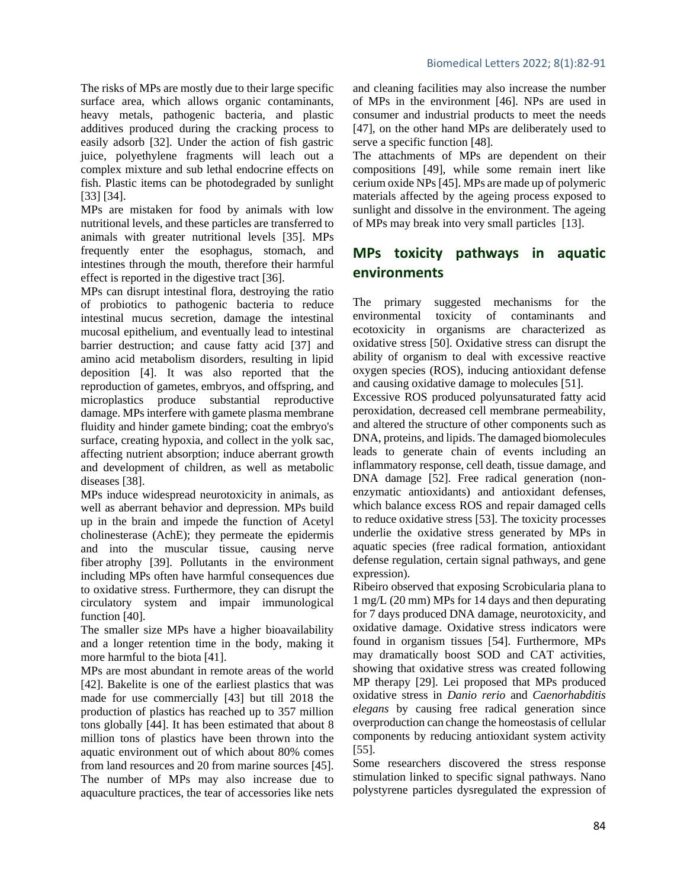complex mixture and sub lethal endocrine effects on fish. Plastic items can be photodegraded by sunlight [33] [34].

MPs are mistaken for food by animals with low nutritional levels, and these particles are transferred to animals with greater nutritional levels [35]. MPs frequently enter the esophagus, stomach, and intestines through the mouth, therefore their harmful effect is reported in the digestive tract [36].

MPs can disrupt intestinal flora, destroying the ratio of probiotics to pathogenic bacteria to reduce intestinal mucus secretion, damage the intestinal mucosal epithelium, and eventually lead to intestinal barrier destruction; and cause fatty acid [37] and amino acid metabolism disorders, resulting in lipid deposition [4]. It was also reported that the reproduction of gametes, embryos, and offspring, and microplastics produce substantial reproductive damage. MPs interfere with gamete plasma membrane fluidity and hinder gamete binding; coat the embryo's surface, creating hypoxia, and collect in the yolk sac, affecting nutrient absorption; induce aberrant growth and development of children, as well as metabolic diseases [38].

MPs induce widespread neurotoxicity in animals, as well as aberrant behavior and depression. MPs build up in the brain and impede the function of Acetyl cholinesterase (AchE); they permeate the epidermis and into the muscular tissue, causing nerve fiber atrophy [39]. Pollutants in the environment including MPs often have harmful consequences due to oxidative stress. Furthermore, they can disrupt the circulatory system and impair immunological function [40].

The smaller size MPs have a higher bioavailability and a longer retention time in the body, making it more harmful to the biota [41].

MPs are most abundant in remote areas of the world [42]. Bakelite is one of the earliest plastics that was made for use commercially [43] but till 2018 the production of plastics has reached up to 357 million tons globally [44]. It has been estimated that about 8 million tons of plastics have been thrown into the aquatic environment out of which about 80% comes from land resources and 20 from marine sources [45]. The number of MPs may also increase due to aquaculture practices, the tear of accessories like nets

and cleaning facilities may also increase the number of MPs in the environment [46]. NPs are used in consumer and industrial products to meet the needs [47], on the other hand MPs are deliberately used to serve a specific function [48].

The attachments of MPs are dependent on their compositions [49], while some remain inert like cerium oxide NPs [45]. MPs are made up of polymeric materials affected by the ageing process exposed to sunlight and dissolve in the environment. The ageing of MPs may break into very small particles [13].

### **MPs toxicity pathways in aquatic environments**

The primary suggested mechanisms for the environmental toxicity of contaminants and ecotoxicity in organisms are characterized as oxidative stress [50]. Oxidative stress can disrupt the ability of organism to deal with excessive reactive oxygen species (ROS), inducing antioxidant defense and causing oxidative damage to molecules [51].

Excessive ROS produced polyunsaturated fatty acid peroxidation, decreased cell membrane permeability, and altered the structure of other components such as DNA, proteins, and lipids. The damaged biomolecules leads to generate chain of events including an inflammatory response, cell death, tissue damage, and DNA damage [52]. Free radical generation (nonenzymatic antioxidants) and antioxidant defenses, which balance excess ROS and repair damaged cells to reduce oxidative stress [53]. The toxicity processes underlie the oxidative stress generated by MPs in aquatic species (free radical formation, antioxidant defense regulation, certain signal pathways, and gene expression).

Ribeiro observed that exposing Scrobicularia plana to 1 mg/L (20 mm) MPs for 14 days and then depurating for 7 days produced DNA damage, neurotoxicity, and oxidative damage. Oxidative stress indicators were found in organism tissues [54]. Furthermore, MPs may dramatically boost SOD and CAT activities, showing that oxidative stress was created following MP therapy [29]. Lei proposed that MPs produced oxidative stress in *Danio rerio* and *Caenorhabditis elegans* by causing free radical generation since overproduction can change the homeostasis of cellular components by reducing antioxidant system activity [55].

Some researchers discovered the stress response stimulation linked to specific signal pathways. Nano polystyrene particles dysregulated the expression of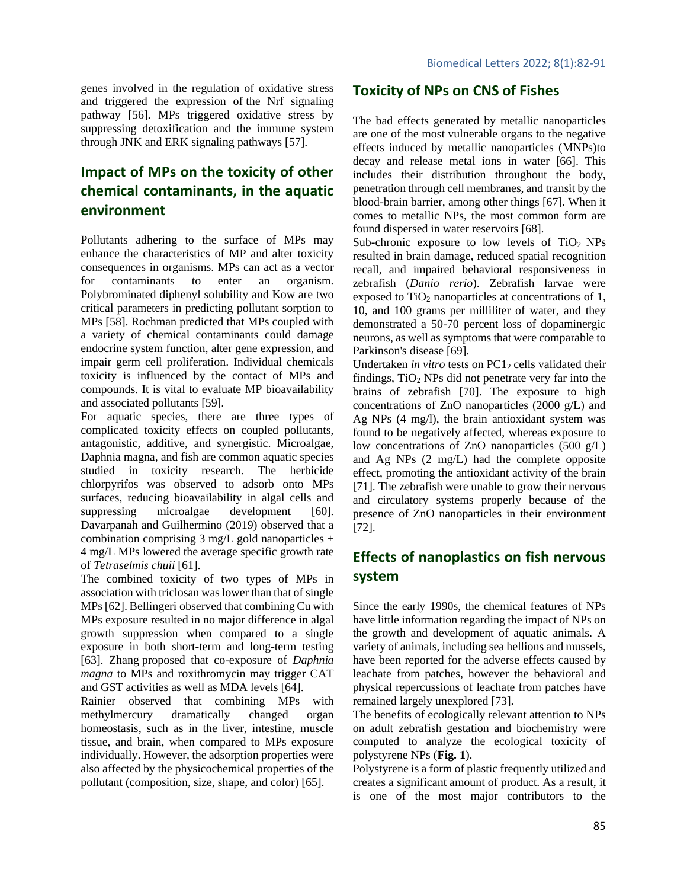genes involved in the regulation of oxidative stress and triggered the expression of the Nrf signaling pathway [56]. MPs triggered oxidative stress by suppressing detoxification and the immune system through JNK and ERK signaling pathways [57].

### **Impact of MPs on the toxicity of other chemical contaminants, in the aquatic environment**

Pollutants adhering to the surface of MPs may enhance the characteristics of MP and alter toxicity consequences in organisms. MPs can act as a vector for contaminants to enter an organism. Polybrominated diphenyl solubility and Kow are two critical parameters in predicting pollutant sorption to MPs [58]. Rochman predicted that MPs coupled with a variety of chemical contaminants could damage endocrine system function, alter gene expression, and impair germ cell proliferation. Individual chemicals toxicity is influenced by the contact of MPs and compounds. It is vital to evaluate MP bioavailability and associated pollutants [59].

For aquatic species, there are three types of complicated toxicity effects on coupled pollutants, antagonistic, additive, and synergistic. Microalgae, Daphnia magna, and fish are common aquatic species studied in toxicity research. The herbicide chlorpyrifos was observed to adsorb onto MPs surfaces, reducing bioavailability in algal cells and suppressing microalgae development [60]. Davarpanah and Guilhermino (2019) observed that a combination comprising  $3 \text{ mg/L}$  gold nanoparticles + 4 mg/L MPs lowered the average specific growth rate of *Tetraselmis chuii* [61].

The combined toxicity of two types of MPs in association with triclosan was lower than that of single MPs [62]. Bellingeri observed that combining Cu with MPs exposure resulted in no major difference in algal growth suppression when compared to a single exposure in both short-term and long-term testing [63]. Zhang proposed that co-exposure of *Daphnia magna* to MPs and roxithromycin may trigger CAT and GST activities as well as MDA levels [64].

Rainier observed that combining MPs with methylmercury dramatically changed organ homeostasis, such as in the liver, intestine, muscle tissue, and brain, when compared to MPs exposure individually. However, the adsorption properties were also affected by the physicochemical properties of the pollutant (composition, size, shape, and color) [65].

### **Toxicity of NPs on CNS of Fishes**

The bad effects generated by metallic nanoparticles are one of the most vulnerable organs to the negative effects induced by metallic nanoparticles (MNPs)to decay and release metal ions in water [66]. This includes their distribution throughout the body, penetration through cell membranes, and transit by the blood-brain barrier, among other things [67]. When it comes to metallic NPs, the most common form are found dispersed in water reservoirs [68].

Sub-chronic exposure to low levels of  $TiO<sub>2</sub>$  NPs resulted in brain damage, reduced spatial recognition recall, and impaired behavioral responsiveness in zebrafish (*Danio rerio*). Zebrafish larvae were exposed to  $TiO<sub>2</sub>$  nanoparticles at concentrations of 1, 10, and 100 grams per milliliter of water, and they demonstrated a 50-70 percent loss of dopaminergic neurons, as well as symptoms that were comparable to Parkinson's disease [69].

Undertaken *in vitro* tests on PC1<sub>2</sub> cells validated their findings,  $TiO<sub>2</sub>$  NPs did not penetrate very far into the brains of zebrafish [70]. The exposure to high concentrations of ZnO nanoparticles (2000 g/L) and Ag NPs (4 mg/l), the brain antioxidant system was found to be negatively affected, whereas exposure to low concentrations of ZnO nanoparticles  $(500 \text{ g/L})$ and Ag NPs (2 mg/L) had the complete opposite effect, promoting the antioxidant activity of the brain [71]. The zebrafish were unable to grow their nervous and circulatory systems properly because of the presence of ZnO nanoparticles in their environment [72].

### **Effects of nanoplastics on fish nervous system**

Since the early 1990s, the chemical features of NPs have little information regarding the impact of NPs on the growth and development of aquatic animals. A variety of animals, including sea hellions and mussels, have been reported for the adverse effects caused by leachate from patches, however the behavioral and physical repercussions of leachate from patches have remained largely unexplored [73].

The benefits of ecologically relevant attention to NPs on adult zebrafish gestation and biochemistry were computed to analyze the ecological toxicity of polystyrene NPs (**Fig. 1**).

Polystyrene is a form of plastic frequently utilized and creates a significant amount of product. As a result, it is one of the most major contributors to the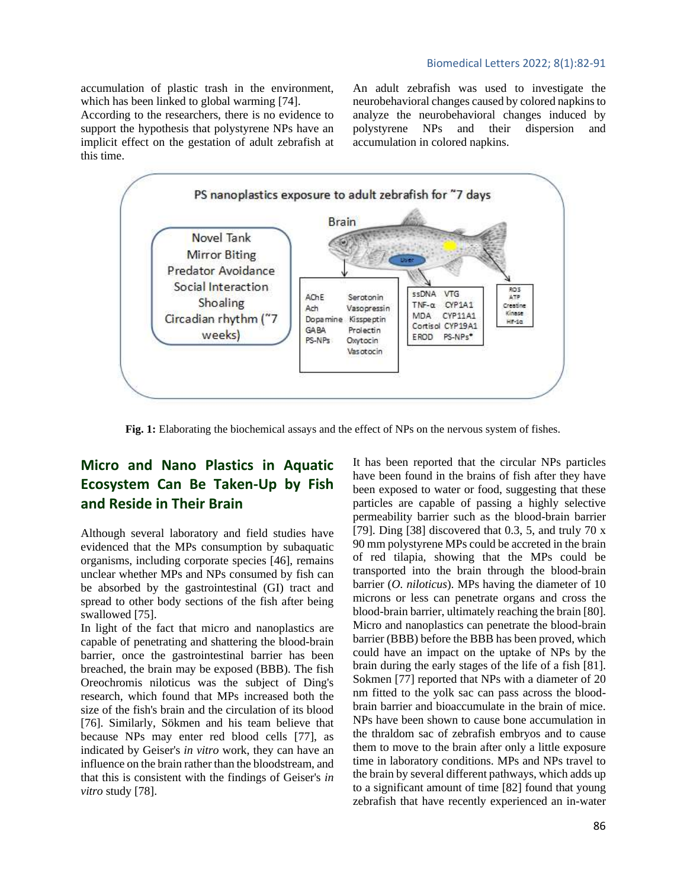accumulation of plastic trash in the environment, which has been linked to global warming [74].

According to the researchers, there is no evidence to support the hypothesis that polystyrene NPs have an implicit effect on the gestation of adult zebrafish at this time.

An adult zebrafish was used to investigate the neurobehavioral changes caused by colored napkins to analyze the neurobehavioral changes induced by polystyrene NPs and their dispersion and accumulation in colored napkins.



**Fig. 1:** Elaborating the biochemical assays and the effect of NPs on the nervous system of fishes.

### **Micro and Nano Plastics in Aquatic Ecosystem Can Be Taken-Up by Fish and Reside in Their Brain**

Although several laboratory and field studies have evidenced that the MPs consumption by subaquatic organisms, including corporate species [46], remains unclear whether MPs and NPs consumed by fish can be absorbed by the gastrointestinal (GI) tract and spread to other body sections of the fish after being swallowed [75].

In light of the fact that micro and nanoplastics are capable of penetrating and shattering the blood-brain barrier, once the gastrointestinal barrier has been breached, the brain may be exposed (BBB). The fish Oreochromis niloticus was the subject of Ding's research, which found that MPs increased both the size of the fish's brain and the circulation of its blood [76]. Similarly, Sökmen and his team believe that because NPs may enter red blood cells [77], as indicated by Geiser's *in vitro* work, they can have an influence on the brain rather than the bloodstream, and that this is consistent with the findings of Geiser's *in vitro* study [78].

It has been reported that the circular NPs particles have been found in the brains of fish after they have been exposed to water or food, suggesting that these particles are capable of passing a highly selective permeability barrier such as the blood-brain barrier [79]. Ding [38] discovered that  $0.3$ ,  $5$ , and truly  $70 \text{ x}$ 90 mm polystyrene MPs could be accreted in the brain of red tilapia, showing that the MPs could be transported into the brain through the blood-brain barrier (*O. niloticus*). MPs having the diameter of 10 microns or less can penetrate organs and cross the blood-brain barrier, ultimately reaching the brain [80]. Micro and nanoplastics can penetrate the blood-brain barrier (BBB) before the BBB has been proved, which could have an impact on the uptake of NPs by the brain during the early stages of the life of a fish [81]. Sokmen [77] reported that NPs with a diameter of 20 nm fitted to the yolk sac can pass across the bloodbrain barrier and bioaccumulate in the brain of mice. NPs have been shown to cause bone accumulation in the thraldom sac of zebrafish embryos and to cause them to move to the brain after only a little exposure time in laboratory conditions. MPs and NPs travel to the brain by several different pathways, which adds up to a significant amount of time [82] found that young zebrafish that have recently experienced an in-water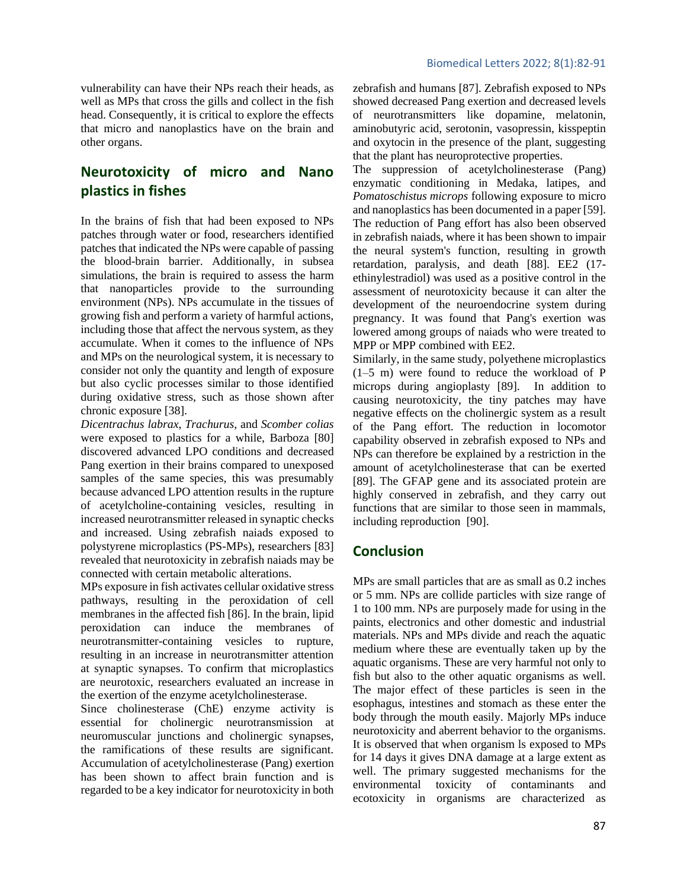## **Neurotoxicity of micro and Nano plastics in fishes**

In the brains of fish that had been exposed to NPs patches through water or food, researchers identified patches that indicated the NPs were capable of passing the blood-brain barrier. Additionally, in subsea simulations, the brain is required to assess the harm that nanoparticles provide to the surrounding environment (NPs). NPs accumulate in the tissues of growing fish and perform a variety of harmful actions, including those that affect the nervous system, as they accumulate. When it comes to the influence of NPs and MPs on the neurological system, it is necessary to consider not only the quantity and length of exposure but also cyclic processes similar to those identified during oxidative stress, such as those shown after chronic exposure [38].

*Dicentrachus labrax*, *Trachurus*, and *Scomber colias* were exposed to plastics for a while, Barboza [80] discovered advanced LPO conditions and decreased Pang exertion in their brains compared to unexposed samples of the same species, this was presumably because advanced LPO attention results in the rupture of acetylcholine-containing vesicles, resulting in increased neurotransmitter released in synaptic checks and increased. Using zebrafish naiads exposed to polystyrene microplastics (PS-MPs), researchers [83] revealed that neurotoxicity in zebrafish naiads may be connected with certain metabolic alterations.

MPs exposure in fish activates cellular oxidative stress pathways, resulting in the peroxidation of cell membranes in the affected fish [86]. In the brain, lipid peroxidation can induce the membranes of neurotransmitter-containing vesicles to rupture, resulting in an increase in neurotransmitter attention at synaptic synapses. To confirm that microplastics are neurotoxic, researchers evaluated an increase in the exertion of the enzyme acetylcholinesterase.

Since cholinesterase (ChE) enzyme activity is essential for cholinergic neurotransmission at neuromuscular junctions and cholinergic synapses, the ramifications of these results are significant. Accumulation of acetylcholinesterase (Pang) exertion has been shown to affect brain function and is regarded to be a key indicator for neurotoxicity in both zebrafish and humans [87]. Zebrafish exposed to NPs showed decreased Pang exertion and decreased levels of neurotransmitters like dopamine, melatonin, aminobutyric acid, serotonin, vasopressin, kisspeptin and oxytocin in the presence of the plant, suggesting that the plant has neuroprotective properties.

The suppression of acetylcholinesterase (Pang) enzymatic conditioning in Medaka, latipes, and *Pomatoschistus microps* following exposure to micro and nanoplastics has been documented in a paper [59]. The reduction of Pang effort has also been observed in zebrafish naiads, where it has been shown to impair the neural system's function, resulting in growth retardation, paralysis, and death [88]. EE2 (17 ethinylestradiol) was used as a positive control in the assessment of neurotoxicity because it can alter the development of the neuroendocrine system during pregnancy. It was found that Pang's exertion was lowered among groups of naiads who were treated to MPP or MPP combined with EE2.

Similarly, in the same study, polyethene microplastics (1–5 m) were found to reduce the workload of P microps during angioplasty [89]. In addition to causing neurotoxicity, the tiny patches may have negative effects on the cholinergic system as a result of the Pang effort. The reduction in locomotor capability observed in zebrafish exposed to NPs and NPs can therefore be explained by a restriction in the amount of acetylcholinesterase that can be exerted [89]. The GFAP gene and its associated protein are highly conserved in zebrafish, and they carry out functions that are similar to those seen in mammals, including reproduction [90].

### **Conclusion**

MPs are small particles that are as small as 0.2 inches or 5 mm. NPs are collide particles with size range of 1 to 100 mm. NPs are purposely made for using in the paints, electronics and other domestic and industrial materials. NPs and MPs divide and reach the aquatic medium where these are eventually taken up by the aquatic organisms. These are very harmful not only to fish but also to the other aquatic organisms as well. The major effect of these particles is seen in the esophagus, intestines and stomach as these enter the body through the mouth easily. Majorly MPs induce neurotoxicity and aberrent behavior to the organisms. It is observed that when organism ls exposed to MPs for 14 days it gives DNA damage at a large extent as well. The primary suggested mechanisms for the environmental toxicity of contaminants and ecotoxicity in organisms are characterized as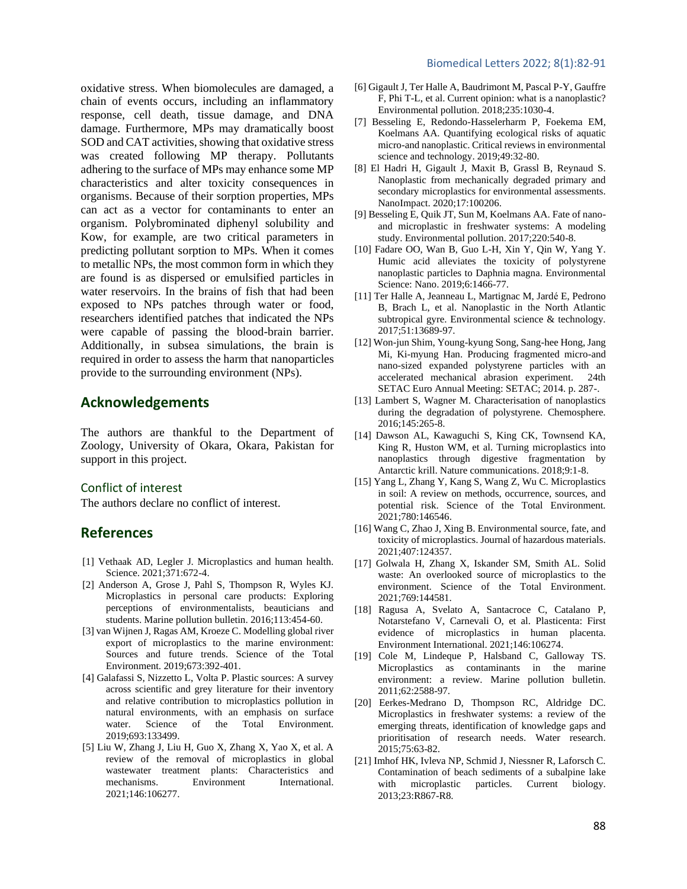oxidative stress. When biomolecules are damaged, a chain of events occurs, including an inflammatory response, cell death, tissue damage, and DNA damage. Furthermore, MPs may dramatically boost SOD and CAT activities, showing that oxidative stress was created following MP therapy. Pollutants adhering to the surface of MPs may enhance some MP characteristics and alter toxicity consequences in organisms. Because of their sorption properties, MPs can act as a vector for contaminants to enter an organism. Polybrominated diphenyl solubility and Kow, for example, are two critical parameters in predicting pollutant sorption to MPs. When it comes to metallic NPs, the most common form in which they are found is as dispersed or emulsified particles in water reservoirs. In the brains of fish that had been exposed to NPs patches through water or food, researchers identified patches that indicated the NPs were capable of passing the blood-brain barrier. Additionally, in subsea simulations, the brain is required in order to assess the harm that nanoparticles provide to the surrounding environment (NPs).

### **Acknowledgements**

The authors are thankful to the Department of Zoology, University of Okara, Okara, Pakistan for support in this project.

#### Conflict of interest

The authors declare no conflict of interest.

### **References**

- [1] Vethaak AD, Legler J. Microplastics and human health. Science. 2021;371:672-4.
- [2] Anderson A, Grose J, Pahl S, Thompson R, Wyles KJ. Microplastics in personal care products: Exploring perceptions of environmentalists, beauticians and students. Marine pollution bulletin. 2016;113:454-60.
- [3] van Wijnen J, Ragas AM, Kroeze C. Modelling global river export of microplastics to the marine environment: Sources and future trends. Science of the Total Environment. 2019;673:392-401.
- [4] Galafassi S, Nizzetto L, Volta P. Plastic sources: A survey across scientific and grey literature for their inventory and relative contribution to microplastics pollution in natural environments, with an emphasis on surface water. Science of the Total Environment. 2019;693:133499.
- [5] Liu W, Zhang J, Liu H, Guo X, Zhang X, Yao X, et al. A review of the removal of microplastics in global wastewater treatment plants: Characteristics and mechanisms. Environment International. 2021;146:106277.
- [6] Gigault J, Ter Halle A, Baudrimont M, Pascal P-Y, Gauffre F, Phi T-L, et al. Current opinion: what is a nanoplastic? Environmental pollution. 2018;235:1030-4.
- [7] Besseling E, Redondo-Hasselerharm P, Foekema EM, Koelmans AA. Quantifying ecological risks of aquatic micro-and nanoplastic. Critical reviews in environmental science and technology. 2019;49:32-80.
- [8] El Hadri H, Gigault J, Maxit B, Grassl B, Reynaud S. Nanoplastic from mechanically degraded primary and secondary microplastics for environmental assessments. NanoImpact. 2020;17:100206.
- [9] Besseling E, Quik JT, Sun M, Koelmans AA. Fate of nanoand microplastic in freshwater systems: A modeling study. Environmental pollution. 2017;220:540-8.
- [10] Fadare OO, Wan B, Guo L-H, Xin Y, Qin W, Yang Y. Humic acid alleviates the toxicity of polystyrene nanoplastic particles to Daphnia magna. Environmental Science: Nano. 2019;6:1466-77.
- [11] Ter Halle A, Jeanneau L, Martignac M, Jardé E, Pedrono B, Brach L, et al. Nanoplastic in the North Atlantic subtropical gyre. Environmental science & technology. 2017;51:13689-97.
- [12] Won-jun Shim, Young-kyung Song, Sang-hee Hong, Jang Mi, Ki-myung Han. Producing fragmented micro-and nano-sized expanded polystyrene particles with an accelerated mechanical abrasion experiment. 24th SETAC Euro Annual Meeting: SETAC; 2014. p. 287-.
- [13] Lambert S, Wagner M. Characterisation of nanoplastics during the degradation of polystyrene. Chemosphere. 2016;145:265-8.
- [14] Dawson AL, Kawaguchi S, King CK, Townsend KA, King R, Huston WM, et al. Turning microplastics into nanoplastics through digestive fragmentation by Antarctic krill. Nature communications. 2018;9:1-8.
- [15] Yang L, Zhang Y, Kang S, Wang Z, Wu C. Microplastics in soil: A review on methods, occurrence, sources, and potential risk. Science of the Total Environment. 2021;780:146546.
- [16] Wang C, Zhao J, Xing B. Environmental source, fate, and toxicity of microplastics. Journal of hazardous materials. 2021;407:124357.
- [17] Golwala H, Zhang X, Iskander SM, Smith AL. Solid waste: An overlooked source of microplastics to the environment. Science of the Total Environment. 2021;769:144581.
- [18] Ragusa A, Svelato A, Santacroce C, Catalano P, Notarstefano V, Carnevali O, et al. Plasticenta: First evidence of microplastics in human placenta. Environment International. 2021;146:106274.
- [19] Cole M, Lindeque P, Halsband C, Galloway TS. Microplastics as contaminants in the marine environment: a review. Marine pollution bulletin. 2011;62:2588-97.
- [20] Eerkes-Medrano D, Thompson RC, Aldridge DC. Microplastics in freshwater systems: a review of the emerging threats, identification of knowledge gaps and prioritisation of research needs. Water research. 2015;75:63-82.
- [21] Imhof HK, Ivleva NP, Schmid J, Niessner R, Laforsch C. Contamination of beach sediments of a subalpine lake with microplastic particles. Current biology. 2013;23:R867-R8.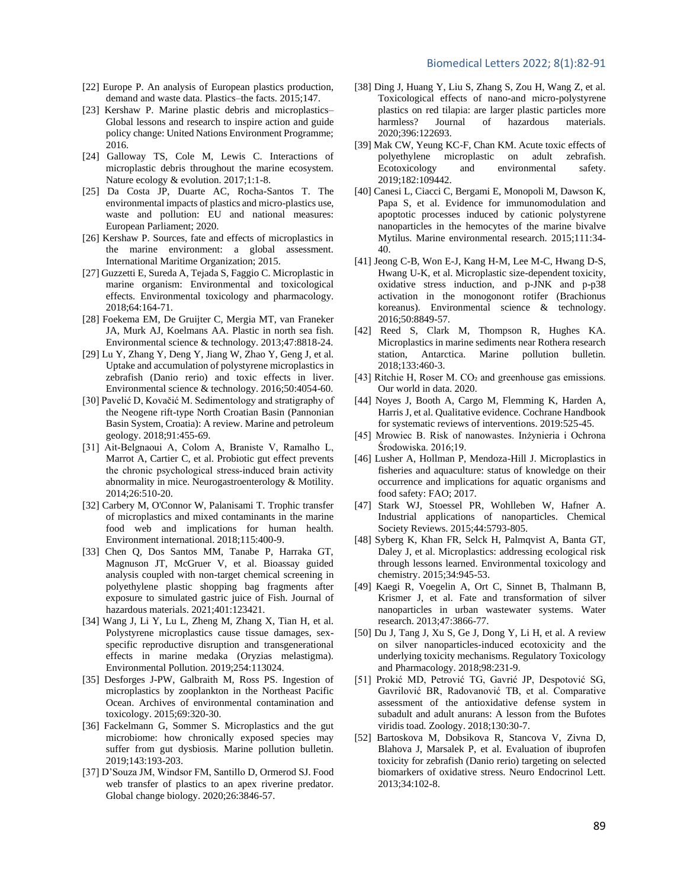#### Biomedical Letters 2022; 8(1):82-91

- [22] Europe P. An analysis of European plastics production, demand and waste data. Plastics–the facts. 2015;147.
- [23] Kershaw P. Marine plastic debris and microplastics– Global lessons and research to inspire action and guide policy change: United Nations Environment Programme; 2016.
- [24] Galloway TS, Cole M, Lewis C. Interactions of microplastic debris throughout the marine ecosystem. Nature ecology & evolution. 2017;1:1-8.
- [25] Da Costa JP, Duarte AC, Rocha-Santos T. The environmental impacts of plastics and micro-plastics use, waste and pollution: EU and national measures: European Parliament; 2020.
- [26] Kershaw P. Sources, fate and effects of microplastics in the marine environment: a global assessment. International Maritime Organization; 2015.
- [27] Guzzetti E, Sureda A, Tejada S, Faggio C. Microplastic in marine organism: Environmental and toxicological effects. Environmental toxicology and pharmacology. 2018;64:164-71.
- [28] Foekema EM, De Gruijter C, Mergia MT, van Franeker JA, Murk AJ, Koelmans AA. Plastic in north sea fish. Environmental science & technology. 2013;47:8818-24.
- [29] Lu Y, Zhang Y, Deng Y, Jiang W, Zhao Y, Geng J, et al. Uptake and accumulation of polystyrene microplastics in zebrafish (Danio rerio) and toxic effects in liver. Environmental science & technology. 2016;50:4054-60.
- [30] Pavelić D, Kovačić M. Sedimentology and stratigraphy of the Neogene rift-type North Croatian Basin (Pannonian Basin System, Croatia): A review. Marine and petroleum geology. 2018;91:455-69.
- [31] Ait-Belgnaoui A, Colom A, Braniste V, Ramalho L, Marrot A, Cartier C, et al. Probiotic gut effect prevents the chronic psychological stress‐induced brain activity abnormality in mice. Neurogastroenterology & Motility. 2014;26:510-20.
- [32] Carbery M, O'Connor W, Palanisami T. Trophic transfer of microplastics and mixed contaminants in the marine food web and implications for human health. Environment international. 2018;115:400-9.
- [33] Chen Q, Dos Santos MM, Tanabe P, Harraka GT, Magnuson JT, McGruer V, et al. Bioassay guided analysis coupled with non-target chemical screening in polyethylene plastic shopping bag fragments after exposure to simulated gastric juice of Fish. Journal of hazardous materials. 2021;401:123421.
- [34] Wang J, Li Y, Lu L, Zheng M, Zhang X, Tian H, et al. Polystyrene microplastics cause tissue damages, sexspecific reproductive disruption and transgenerational effects in marine medaka (Oryzias melastigma). Environmental Pollution. 2019;254:113024.
- [35] Desforges J-PW, Galbraith M, Ross PS. Ingestion of microplastics by zooplankton in the Northeast Pacific Ocean. Archives of environmental contamination and toxicology. 2015;69:320-30.
- [36] Fackelmann G, Sommer S. Microplastics and the gut microbiome: how chronically exposed species may suffer from gut dysbiosis. Marine pollution bulletin. 2019;143:193-203.
- [37] D'Souza JM, Windsor FM, Santillo D, Ormerod SJ. Food web transfer of plastics to an apex riverine predator. Global change biology. 2020;26:3846-57.
- [38] Ding J, Huang Y, Liu S, Zhang S, Zou H, Wang Z, et al. Toxicological effects of nano-and micro-polystyrene plastics on red tilapia: are larger plastic particles more harmless? Journal of hazardous materials. 2020;396:122693.
- [39] Mak CW, Yeung KC-F, Chan KM. Acute toxic effects of polyethylene microplastic on adult zebrafish. Ecotoxicology and environmental safety. 2019;182:109442.
- [40] Canesi L, Ciacci C, Bergami E, Monopoli M, Dawson K, Papa S, et al. Evidence for immunomodulation and apoptotic processes induced by cationic polystyrene nanoparticles in the hemocytes of the marine bivalve Mytilus. Marine environmental research. 2015;111:34- 40.
- [41] Jeong C-B, Won E-J, Kang H-M, Lee M-C, Hwang D-S, Hwang U-K, et al. Microplastic size-dependent toxicity, oxidative stress induction, and p-JNK and p-p38 activation in the monogonont rotifer (Brachionus koreanus). Environmental science & technology. 2016;50:8849-57.
- [42] Reed S, Clark M, Thompson R, Hughes KA. Microplastics in marine sediments near Rothera research station, Antarctica. Marine pollution bulletin. 2018;133:460-3.
- [43] Ritchie H, Roser M. CO<sub>2</sub> and greenhouse gas emissions. Our world in data. 2020.
- [44] Noyes J, Booth A, Cargo M, Flemming K, Harden A, Harris J, et al. Qualitative evidence. Cochrane Handbook for systematic reviews of interventions. 2019:525-45.
- [45] Mrowiec B. Risk of nanowastes. Inżynieria i Ochrona Środowiska. 2016;19.
- [46] Lusher A, Hollman P, Mendoza-Hill J. Microplastics in fisheries and aquaculture: status of knowledge on their occurrence and implications for aquatic organisms and food safety: FAO; 2017.
- [47] Stark WJ, Stoessel PR, Wohlleben W, Hafner A. Industrial applications of nanoparticles. Chemical Society Reviews. 2015;44:5793-805.
- [48] Syberg K, Khan FR, Selck H, Palmqvist A, Banta GT, Daley J, et al. Microplastics: addressing ecological risk through lessons learned. Environmental toxicology and chemistry. 2015;34:945-53.
- [49] Kaegi R, Voegelin A, Ort C, Sinnet B, Thalmann B, Krismer J, et al. Fate and transformation of silver nanoparticles in urban wastewater systems. Water research. 2013;47:3866-77.
- [50] Du J, Tang J, Xu S, Ge J, Dong Y, Li H, et al. A review on silver nanoparticles-induced ecotoxicity and the underlying toxicity mechanisms. Regulatory Toxicology and Pharmacology. 2018;98:231-9.
- [51] Prokić MD, Petrović TG, Gavrić JP, Despotović SG, Gavrilović BR, Radovanović TB, et al. Comparative assessment of the antioxidative defense system in subadult and adult anurans: A lesson from the Bufotes viridis toad. Zoology. 2018;130:30-7.
- [52] Bartoskova M, Dobsikova R, Stancova V, Zivna D, Blahova J, Marsalek P, et al. Evaluation of ibuprofen toxicity for zebrafish (Danio rerio) targeting on selected biomarkers of oxidative stress. Neuro Endocrinol Lett. 2013;34:102-8.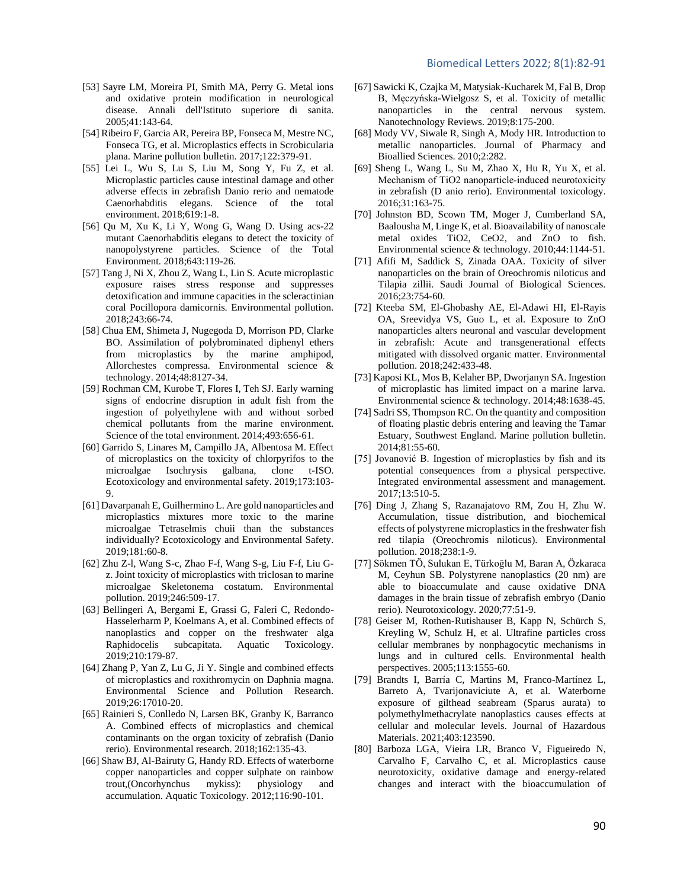#### Biomedical Letters 2022; 8(1):82-91

- [53] Sayre LM, Moreira PI, Smith MA, Perry G. Metal ions and oxidative protein modification in neurological disease. Annali dell'Istituto superiore di sanita. 2005;41:143-64.
- [54] Ribeiro F, Garcia AR, Pereira BP, Fonseca M, Mestre NC, Fonseca TG, et al. Microplastics effects in Scrobicularia plana. Marine pollution bulletin. 2017;122:379-91.
- [55] Lei L, Wu S, Lu S, Liu M, Song Y, Fu Z, et al. Microplastic particles cause intestinal damage and other adverse effects in zebrafish Danio rerio and nematode Caenorhabditis elegans. Science of the total environment. 2018;619:1-8.
- [56] Qu M, Xu K, Li Y, Wong G, Wang D. Using acs-22 mutant Caenorhabditis elegans to detect the toxicity of nanopolystyrene particles. Science of the Total Environment. 2018;643:119-26.
- [57] Tang J, Ni X, Zhou Z, Wang L, Lin S. Acute microplastic exposure raises stress response and suppresses detoxification and immune capacities in the scleractinian coral Pocillopora damicornis. Environmental pollution. 2018;243:66-74.
- [58] Chua EM, Shimeta J, Nugegoda D, Morrison PD, Clarke BO. Assimilation of polybrominated diphenyl ethers from microplastics by the marine amphipod, Allorchestes compressa. Environmental science & technology. 2014;48:8127-34.
- [59] Rochman CM, Kurobe T, Flores I, Teh SJ. Early warning signs of endocrine disruption in adult fish from the ingestion of polyethylene with and without sorbed chemical pollutants from the marine environment. Science of the total environment. 2014;493:656-61.
- [60] Garrido S, Linares M, Campillo JA, Albentosa M. Effect of microplastics on the toxicity of chlorpyrifos to the microalgae Isochrysis galbana, clone t-ISO. Ecotoxicology and environmental safety. 2019;173:103- 9.
- [61] Davarpanah E, Guilhermino L. Are gold nanoparticles and microplastics mixtures more toxic to the marine microalgae Tetraselmis chuii than the substances individually? Ecotoxicology and Environmental Safety. 2019;181:60-8.
- [62] Zhu Z-l, Wang S-c, Zhao F-f, Wang S-g, Liu F-f, Liu Gz. Joint toxicity of microplastics with triclosan to marine microalgae Skeletonema costatum. Environmental pollution. 2019;246:509-17.
- [63] Bellingeri A, Bergami E, Grassi G, Faleri C, Redondo-Hasselerharm P, Koelmans A, et al. Combined effects of nanoplastics and copper on the freshwater alga Raphidocelis subcapitata. Aquatic Toxicology. 2019;210:179-87.
- [64] Zhang P, Yan Z, Lu G, Ji Y. Single and combined effects of microplastics and roxithromycin on Daphnia magna. Environmental Science and Pollution Research. 2019;26:17010-20.
- [65] Rainieri S, Conlledo N, Larsen BK, Granby K, Barranco A. Combined effects of microplastics and chemical contaminants on the organ toxicity of zebrafish (Danio rerio). Environmental research. 2018;162:135-43.
- [66] Shaw BJ, Al-Bairuty G, Handy RD. Effects of waterborne copper nanoparticles and copper sulphate on rainbow trout,(Oncorhynchus mykiss): physiology and accumulation. Aquatic Toxicology. 2012;116:90-101.
- [67] Sawicki K, Czajka M, Matysiak-Kucharek M, Fal B, Drop B, Męczyńska-Wielgosz S, et al. Toxicity of metallic nanoparticles in the central nervous system. Nanotechnology Reviews. 2019;8:175-200.
- [68] Mody VV, Siwale R, Singh A, Mody HR. Introduction to metallic nanoparticles. Journal of Pharmacy and Bioallied Sciences. 2010;2:282.
- [69] Sheng L, Wang L, Su M, Zhao X, Hu R, Yu X, et al. Mechanism of TiO2 nanoparticle‐induced neurotoxicity in zebrafish (D anio rerio). Environmental toxicology. 2016;31:163-75.
- [70] Johnston BD, Scown TM, Moger J, Cumberland SA, Baalousha M, Linge K, et al. Bioavailability of nanoscale metal oxides TiO2, CeO2, and ZnO to fish. Environmental science & technology. 2010;44:1144-51.
- [71] Afifi M, Saddick S, Zinada OAA. Toxicity of silver nanoparticles on the brain of Oreochromis niloticus and Tilapia zillii. Saudi Journal of Biological Sciences. 2016;23:754-60.
- [72] Kteeba SM, El-Ghobashy AE, El-Adawi HI, El-Rayis OA, Sreevidya VS, Guo L, et al. Exposure to ZnO nanoparticles alters neuronal and vascular development in zebrafish: Acute and transgenerational effects mitigated with dissolved organic matter. Environmental pollution. 2018;242:433-48.
- [73] Kaposi KL, Mos B, Kelaher BP, Dworjanyn SA. Ingestion of microplastic has limited impact on a marine larva. Environmental science & technology. 2014;48:1638-45.
- [74] Sadri SS, Thompson RC. On the quantity and composition of floating plastic debris entering and leaving the Tamar Estuary, Southwest England. Marine pollution bulletin. 2014;81:55-60.
- [75] Jovanović B. Ingestion of microplastics by fish and its potential consequences from a physical perspective. Integrated environmental assessment and management. 2017;13:510-5.
- [76] Ding J, Zhang S, Razanajatovo RM, Zou H, Zhu W. Accumulation, tissue distribution, and biochemical effects of polystyrene microplastics in the freshwater fish red tilapia (Oreochromis niloticus). Environmental pollution. 2018;238:1-9.
- [77] Sökmen TÖ, Sulukan E, Türkoğlu M, Baran A, Özkaraca M, Ceyhun SB. Polystyrene nanoplastics (20 nm) are able to bioaccumulate and cause oxidative DNA damages in the brain tissue of zebrafish embryo (Danio rerio). Neurotoxicology. 2020;77:51-9.
- [78] Geiser M, Rothen-Rutishauser B, Kapp N, Schürch S, Kreyling W, Schulz H, et al. Ultrafine particles cross cellular membranes by nonphagocytic mechanisms in lungs and in cultured cells. Environmental health perspectives. 2005;113:1555-60.
- [79] Brandts I, Barría C, Martins M, Franco-Martínez L, Barreto A, Tvarijonaviciute A, et al. Waterborne exposure of gilthead seabream (Sparus aurata) to polymethylmethacrylate nanoplastics causes effects at cellular and molecular levels. Journal of Hazardous Materials. 2021;403:123590.
- [80] Barboza LGA, Vieira LR, Branco V, Figueiredo N, Carvalho F, Carvalho C, et al. Microplastics cause neurotoxicity, oxidative damage and energy-related changes and interact with the bioaccumulation of